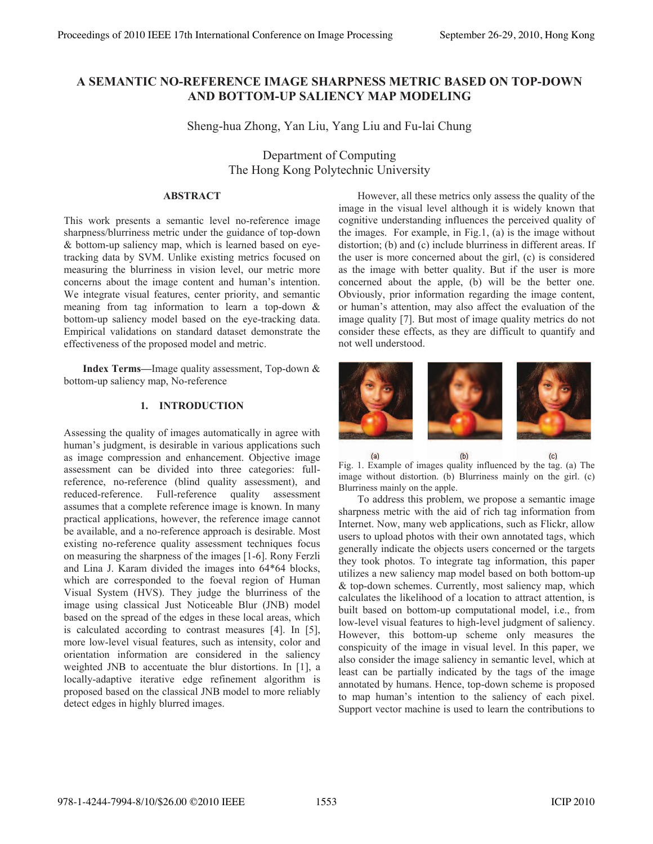# **A SEMANTIC NO-REFERENCE IMAGE SHARPNESS METRIC BASED ON TOP-DOWN AND BOTTOM-UP SALIENCY MAP MODELING**

Sheng-hua Zhong, Yan Liu, Yang Liu and Fu-lai Chung

Department of Computing The Hong Kong Polytechnic University

# **ABSTRACT**

This work presents a semantic level no-reference image sharpness/blurriness metric under the guidance of top-down & bottom-up saliency map, which is learned based on eyetracking data by SVM. Unlike existing metrics focused on measuring the blurriness in vision level, our metric more concerns about the image content and human's intention. We integrate visual features, center priority, and semantic meaning from tag information to learn a top-down & bottom-up saliency model based on the eye-tracking data. Empirical validations on standard dataset demonstrate the effectiveness of the proposed model and metric.

**Index Terms—**Image quality assessment, Top-down & bottom-up saliency map, No-reference

# **1. INTRODUCTION**

Assessing the quality of images automatically in agree with human's judgment, is desirable in various applications such as image compression and enhancement. Objective image assessment can be divided into three categories: fullreference, no-reference (blind quality assessment), and reduced-reference. Full-reference quality assessment assumes that a complete reference image is known. In many practical applications, however, the reference image cannot be available, and a no-reference approach is desirable. Most existing no-reference quality assessment techniques focus on measuring the sharpness of the images [1-6]. Rony Ferzli and Lina J. Karam divided the images into 64\*64 blocks, which are corresponded to the foeval region of Human Visual System (HVS). They judge the blurriness of the image using classical Just Noticeable Blur (JNB) model based on the spread of the edges in these local areas, which is calculated according to contrast measures [4]. In [5], more low-level visual features, such as intensity, color and orientation information are considered in the saliency weighted JNB to accentuate the blur distortions. In [1], a locally-adaptive iterative edge refinement algorithm is proposed based on the classical JNB model to more reliably detect edges in highly blurred images.

However, all these metrics only assess the quality of the image in the visual level although it is widely known that cognitive understanding influences the perceived quality of the images. For example, in Fig.1, (a) is the image without distortion; (b) and (c) include blurriness in different areas. If the user is more concerned about the girl, (c) is considered as the image with better quality. But if the user is more concerned about the apple, (b) will be the better one. Obviously, prior information regarding the image content, or human's attention, may also affect the evaluation of the image quality [7]. But most of image quality metrics do not consider these effects, as they are difficult to quantify and not well understood.





To address this problem, we propose a semantic image sharpness metric with the aid of rich tag information from Internet. Now, many web applications, such as Flickr, allow users to upload photos with their own annotated tags, which generally indicate the objects users concerned or the targets they took photos. To integrate tag information, this paper utilizes a new saliency map model based on both bottom-up & top-down schemes. Currently, most saliency map, which calculates the likelihood of a location to attract attention, is built based on bottom-up computational model, i.e., from low-level visual features to high-level judgment of saliency. However, this bottom-up scheme only measures the conspicuity of the image in visual level. In this paper, we also consider the image saliency in semantic level, which at least can be partially indicated by the tags of the image annotated by humans. Hence, top-down scheme is proposed to map human's intention to the saliency of each pixel. Support vector machine is used to learn the contributions to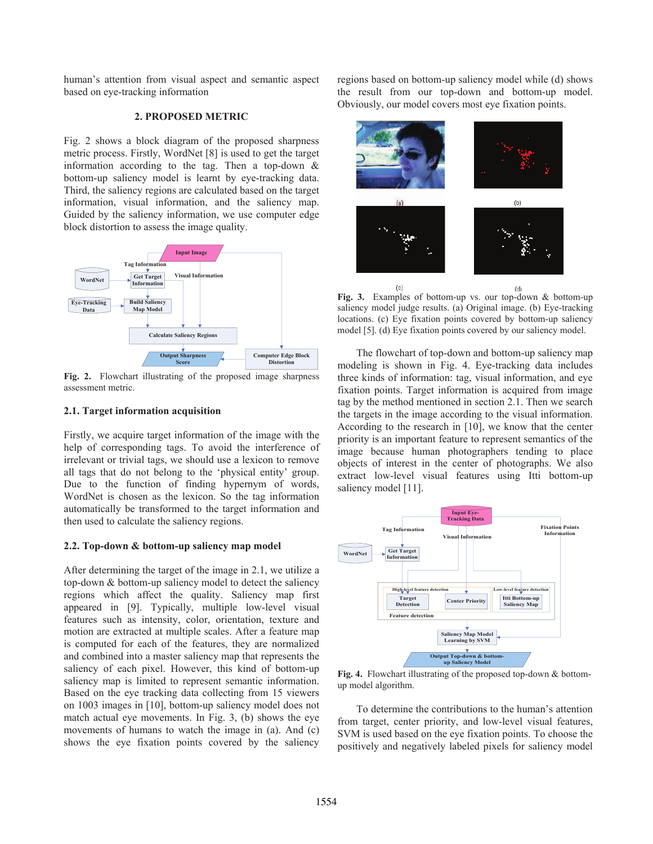human's attention from visual aspect and semantic aspect based on eye-tracking information

## **2. PROPOSED METRIC**

Fig. 2 shows a block diagram of the proposed sharpness metric process. Firstly, WordNet [8] is used to get the target information according to the tag. Then a top-down & bottom-up saliency model is learnt by eye-tracking data. Third, the saliency regions are calculated based on the target information, visual information, and the saliency map. Guided by the saliency information, we use computer edge block distortion to assess the image quality.



**Fig. 2.** Flowchart illustrating of the proposed image sharpness assessment metric.

### **2.1. Target information acquisition**

Firstly, we acquire target information of the image with the help of corresponding tags. To avoid the interference of irrelevant or trivial tags, we should use a lexicon to remove all tags that do not belong to the 'physical entity' group. Due to the function of finding hypernym of words, WordNet is chosen as the lexicon. So the tag information automatically be transformed to the target information and then used to calculate the saliency regions.

### **2.2. Top-down & bottom-up saliency map model**

After determining the target of the image in 2.1, we utilize a top-down & bottom-up saliency model to detect the saliency regions which affect the quality. Saliency map first appeared in [9]. Typically, multiple low-level visual features such as intensity, color, orientation, texture and motion are extracted at multiple scales. After a feature map is computed for each of the features, they are normalized and combined into a master saliency map that represents the saliency of each pixel. However, this kind of bottom-up saliency map is limited to represent semantic information. Based on the eye tracking data collecting from 15 viewers on 1003 images in [10], bottom-up saliency model does not match actual eye movements. In Fig. 3, (b) shows the eye movements of humans to watch the image in (a). And (c) shows the eye fixation points covered by the saliency

regions based on bottom-up saliency model while (d) shows the result from our top-down and bottom-up model. Obviously, our model covers most eye fixation points.



 **Fig. 3.** Examples of bottom-up vs. our top-down & bottom-up saliency model judge results. (a) Original image. (b) Eye-tracking locations. (c) Eye fixation points covered by bottom-up saliency model [5]. (d) Eye fixation points covered by our saliency model.

The flowchart of top-down and bottom-up saliency map modeling is shown in Fig. 4. Eye-tracking data includes three kinds of information: tag, visual information, and eye fixation points. Target information is acquired from image tag by the method mentioned in section 2.1. Then we search the targets in the image according to the visual information. According to the research in [10], we know that the center priority is an important feature to represent semantics of the image because human photographers tending to place objects of interest in the center of photographs. We also extract low-level visual features using Itti bottom-up saliency model [11].



 **Fig. 4.** Flowchart illustrating of the proposed top-down & bottomup model algorithm.

To determine the contributions to the human's attention from target, center priority, and low-level visual features, SVM is used based on the eye fixation points. To choose the positively and negatively labeled pixels for saliency model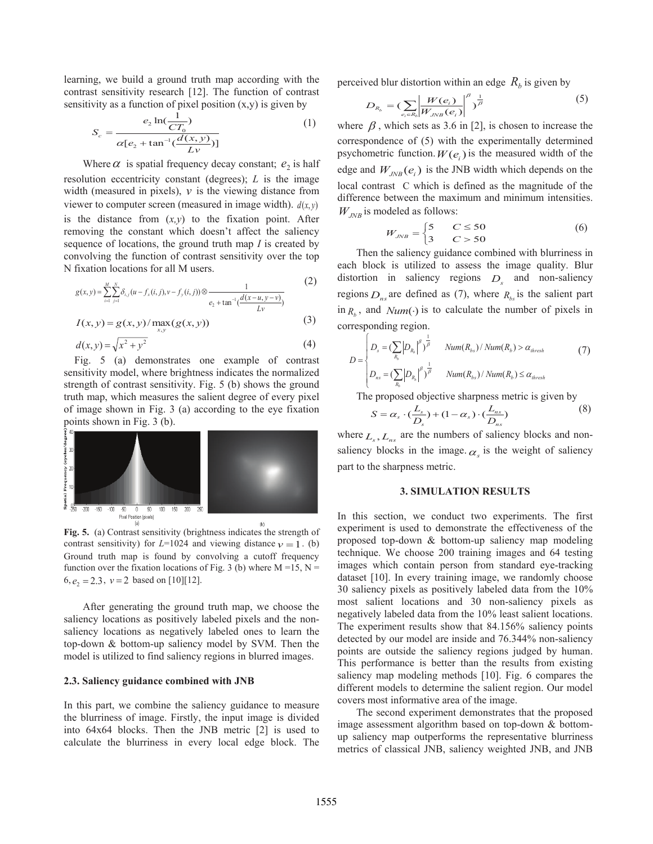learning, we build a ground truth map according with the contrast sensitivity research [12]. The function of contrast sensitivity as a function of pixel position  $(x,y)$  is given by

$$
S_c = \frac{e_2 \ln(\frac{1}{CT_0})}{\alpha[e_2 + \tan^{-1}(\frac{d(x, y)}{Lv})]}
$$
(1)

Where  $\alpha$  is spatial frequency decay constant;  $e_2$  is half resolution eccentricity constant (degrees); *L* is the image width (measured in pixels),  $\nu$  is the viewing distance from viewer to computer screen (measured in image width).  $d(x, y)$ is the distance from  $(x,y)$  to the fixation point. After removing the constant which doesn't affect the saliency sequence of locations, the ground truth map *I* is created by convolving the function of contrast sensitivity over the top N fixation locations for all M users.

$$
g(x, y) = \sum_{i=1}^{M} \sum_{j=1}^{N} \delta_{i,j} (u - f_x(i, j), v - f_y(i, j)) \otimes \frac{1}{e_2 + \tan^{-1}(\frac{d(x - u, y - v)}{Lv})}
$$
(2)

$$
I(x, y) = g(x, y) / \max_{x, y} (g(x, y))
$$
\n(3)

$$
d(x, y) = \sqrt{x^2 + y^2} \tag{4}
$$

Fig. 5 (a) demonstrates one example of contrast sensitivity model, where brightness indicates the normalized strength of contrast sensitivity. Fig. 5 (b) shows the ground truth map, which measures the salient degree of every pixel of image shown in Fig. 3 (a) according to the eye fixation points shown in Fig. 3 (b).



contrast sensitivity) for  $L=1024$  and viewing distance  $v = 1$ . (b) Ground truth map is found by convolving a cutoff frequency function over the fixation locations of Fig. 3 (b) where  $M = 15$ ,  $N =$ 6,  $e_2 = 2.3$ ,  $v = 2$  based on [10][12].

After generating the ground truth map, we choose the saliency locations as positively labeled pixels and the nonsaliency locations as negatively labeled ones to learn the top-down & bottom-up saliency model by SVM. Then the model is utilized to find saliency regions in blurred images.

#### **2.3. Saliency guidance combined with JNB**

In this part, we combine the saliency guidance to measure the blurriness of image. Firstly, the input image is divided into 64x64 blocks. Then the JNB metric [2] is used to calculate the blurriness in every local edge block. The perceived blur distortion within an edge  $R<sub>b</sub>$  is given by

$$
D_{R_b} = \left(\sum_{e_i \in R_b} \left| \frac{W(e_i)}{W_{JNB}(e_i)} \right|^{\beta} \right)^{\frac{1}{\beta}} \tag{5}
$$

where  $\beta$ , which sets as 3.6 in [2], is chosen to increase the correspondence of (5) with the experimentally determined psychometric function.  $W(e_i)$  is the measured width of the edge and  $W_{JNB}(e_i)$  is the JNB width which depends on the local contrast C which is defined as the magnitude of the difference between the maximum and minimum intensities.  $W_{N/B}$  is modeled as follows:

$$
W_{JNB} = \begin{cases} 5 & C \le 50 \\ 3 & C > 50 \end{cases} \tag{6}
$$

Then the saliency guidance combined with blurriness in each block is utilized to assess the image quality. Blur distortion in saliency regions  $D_s$  and non-saliency regions  $D_{ns}$  are defined as (7), where  $R_{bs}$  is the salient part in  $R_b$ , and  $Num(\cdot)$  is to calculate the number of pixels in corresponding region.

$$
D = \begin{cases} D_s = \left(\sum_{R_b} |D_{R_b}|^{\beta}\right)^{\frac{1}{\beta}} & Num(R_{bs})/Num(R_b) > \alpha_{thresh} \\ D_{ns} = \left(\sum_{R_b} |D_{R_b}|^{\beta}\right)^{\frac{1}{\beta}} & Num(R_{bs})/Num(R_b) \le \alpha_{thresh} \end{cases}
$$
(7)

The proposed objective sharpness metric is given by

$$
S = \alpha_s \cdot (\frac{L_s}{D_s}) + (1 - \alpha_s) \cdot (\frac{L_{ns}}{D_{ns}})
$$
\n(8)

where  $L_s$ ,  $L_{ns}$  are the numbers of saliency blocks and nonsaliency blocks in the image.  $\alpha_s$  is the weight of saliency part to the sharpness metric.

#### **3. SIMULATION RESULTS**

In this section, we conduct two experiments. The first experiment is used to demonstrate the effectiveness of the proposed top-down & bottom-up saliency map modeling technique. We choose 200 training images and 64 testing images which contain person from standard eye-tracking dataset [10]. In every training image, we randomly choose 30 saliency pixels as positively labeled data from the 10% most salient locations and 30 non-saliency pixels as negatively labeled data from the 10% least salient locations. The experiment results show that 84.156% saliency points detected by our model are inside and 76.344% non-saliency points are outside the saliency regions judged by human. This performance is better than the results from existing saliency map modeling methods [10]. Fig. 6 compares the different models to determine the salient region. Our model covers most informative area of the image.

The second experiment demonstrates that the proposed image assessment algorithm based on top-down & bottomup saliency map outperforms the representative blurriness metrics of classical JNB, saliency weighted JNB, and JNB